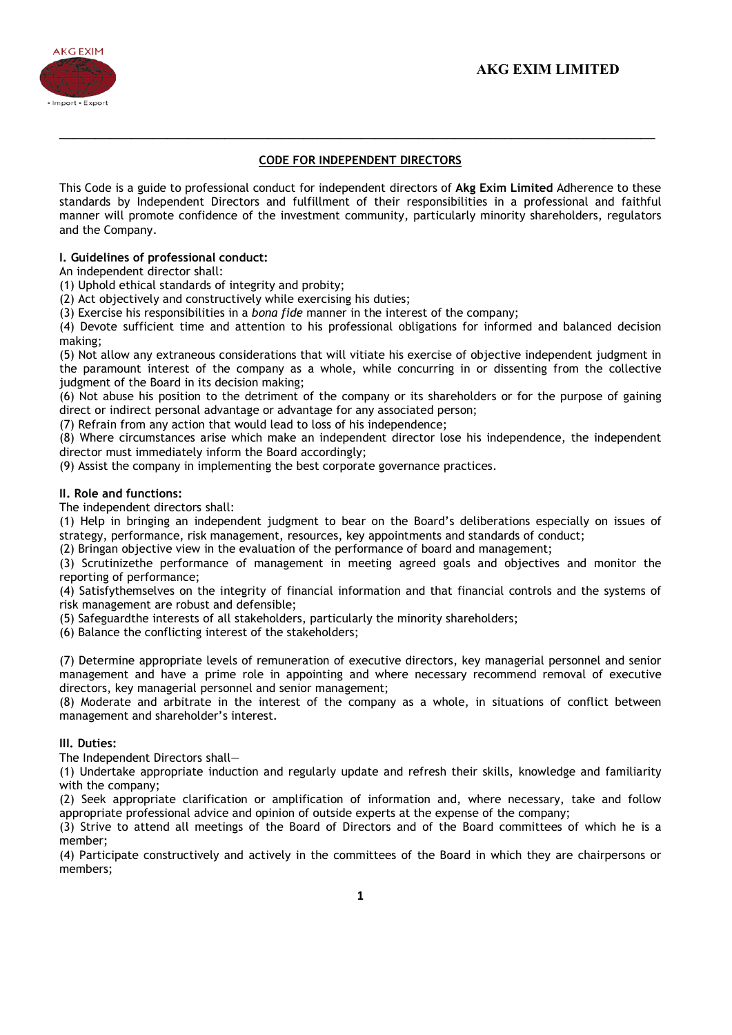

## CODE FOR INDEPENDENT DIRECTORS

\_\_\_\_\_\_\_\_\_\_\_\_\_\_\_\_\_\_\_\_\_\_\_\_\_\_\_\_\_\_\_\_\_\_\_\_\_\_\_\_\_\_\_\_\_\_\_\_\_\_\_\_\_\_\_\_\_\_\_\_\_\_\_\_\_\_\_\_\_\_\_\_\_\_\_\_\_\_\_\_\_\_\_

This Code is a guide to professional conduct for independent directors of Akg Exim Limited Adherence to these standards by Independent Directors and fulfillment of their responsibilities in a professional and faithful manner will promote confidence of the investment community, particularly minority shareholders, regulators and the Company.

## I. Guidelines of professional conduct:

An independent director shall:

(1) Uphold ethical standards of integrity and probity;

(2) Act objectively and constructively while exercising his duties;

(3) Exercise his responsibilities in a *bona fide* manner in the interest of the company;

(4) Devote sufficient time and attention to his professional obligations for informed and balanced decision making;

(5) Not allow any extraneous considerations that will vitiate his exercise of objective independent judgment in the paramount interest of the company as a whole, while concurring in or dissenting from the collective judgment of the Board in its decision making;

(6) Not abuse his position to the detriment of the company or its shareholders or for the purpose of gaining direct or indirect personal advantage or advantage for any associated person;

(7) Refrain from any action that would lead to loss of his independence;

(8) Where circumstances arise which make an independent director lose his independence, the independent director must immediately inform the Board accordingly;

(9) Assist the company in implementing the best corporate governance practices.

## II. Role and functions:

The independent directors shall:

(1) Help in bringing an independent judgment to bear on the Board's deliberations especially on issues of strategy, performance, risk management, resources, key appointments and standards of conduct;

(2) Bringan objective view in the evaluation of the performance of board and management;

(3) Scrutinizethe performance of management in meeting agreed goals and objectives and monitor the reporting of performance;

(4) Satisfythemselves on the integrity of financial information and that financial controls and the systems of risk management are robust and defensible;

(5) Safeguardthe interests of all stakeholders, particularly the minority shareholders;

(6) Balance the conflicting interest of the stakeholders;

(7) Determine appropriate levels of remuneration of executive directors, key managerial personnel and senior management and have a prime role in appointing and where necessary recommend removal of executive directors, key managerial personnel and senior management;

(8) Moderate and arbitrate in the interest of the company as a whole, in situations of conflict between management and shareholder's interest.

## III. Duties:

The Independent Directors shall—

(1) Undertake appropriate induction and regularly update and refresh their skills, knowledge and familiarity with the company;

(2) Seek appropriate clarification or amplification of information and, where necessary, take and follow appropriate professional advice and opinion of outside experts at the expense of the company;

(3) Strive to attend all meetings of the Board of Directors and of the Board committees of which he is a member;

(4) Participate constructively and actively in the committees of the Board in which they are chairpersons or members;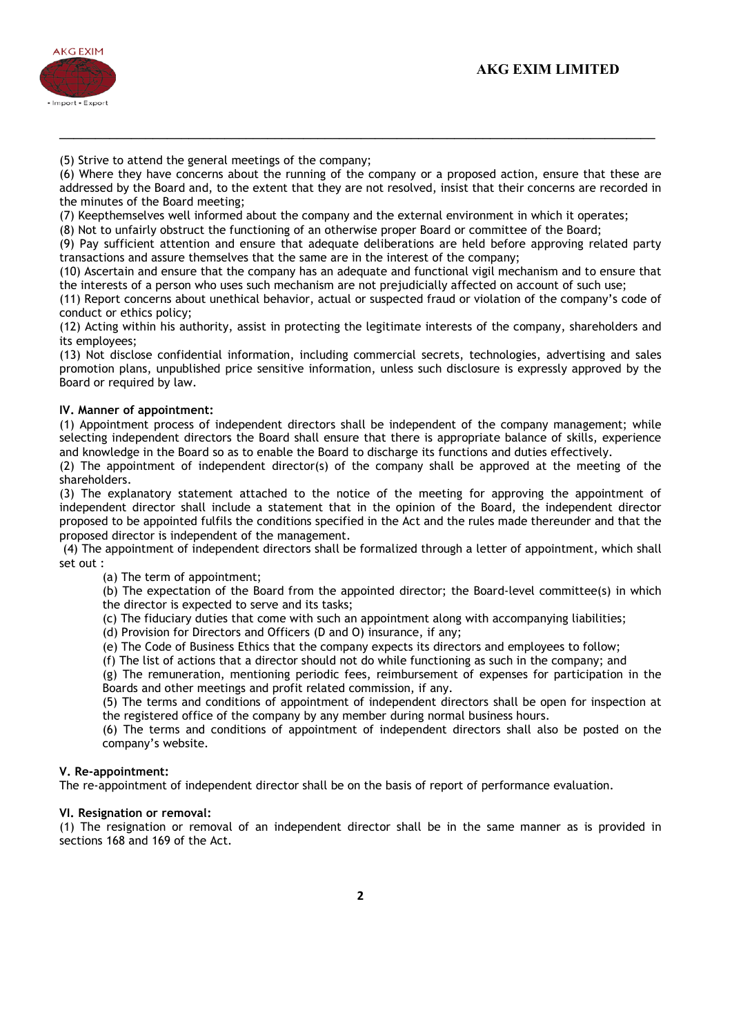

(5) Strive to attend the general meetings of the company;

(6) Where they have concerns about the running of the company or a proposed action, ensure that these are addressed by the Board and, to the extent that they are not resolved, insist that their concerns are recorded in the minutes of the Board meeting;

\_\_\_\_\_\_\_\_\_\_\_\_\_\_\_\_\_\_\_\_\_\_\_\_\_\_\_\_\_\_\_\_\_\_\_\_\_\_\_\_\_\_\_\_\_\_\_\_\_\_\_\_\_\_\_\_\_\_\_\_\_\_\_\_\_\_\_\_\_\_\_\_\_\_\_\_\_\_\_\_\_\_\_

(7) Keepthemselves well informed about the company and the external environment in which it operates;

(8) Not to unfairly obstruct the functioning of an otherwise proper Board or committee of the Board;

(9) Pay sufficient attention and ensure that adequate deliberations are held before approving related party transactions and assure themselves that the same are in the interest of the company;

(10) Ascertain and ensure that the company has an adequate and functional vigil mechanism and to ensure that the interests of a person who uses such mechanism are not prejudicially affected on account of such use;

(11) Report concerns about unethical behavior, actual or suspected fraud or violation of the company's code of conduct or ethics policy;

(12) Acting within his authority, assist in protecting the legitimate interests of the company, shareholders and its employees;

(13) Not disclose confidential information, including commercial secrets, technologies, advertising and sales promotion plans, unpublished price sensitive information, unless such disclosure is expressly approved by the Board or required by law.

#### IV. Manner of appointment:

(1) Appointment process of independent directors shall be independent of the company management; while selecting independent directors the Board shall ensure that there is appropriate balance of skills, experience and knowledge in the Board so as to enable the Board to discharge its functions and duties effectively.

(2) The appointment of independent director(s) of the company shall be approved at the meeting of the shareholders.

(3) The explanatory statement attached to the notice of the meeting for approving the appointment of independent director shall include a statement that in the opinion of the Board, the independent director proposed to be appointed fulfils the conditions specified in the Act and the rules made thereunder and that the proposed director is independent of the management.

 (4) The appointment of independent directors shall be formalized through a letter of appointment, which shall set out :

(a) The term of appointment;

(b) The expectation of the Board from the appointed director; the Board-level committee(s) in which the director is expected to serve and its tasks;

(c) The fiduciary duties that come with such an appointment along with accompanying liabilities;

(d) Provision for Directors and Officers (D and O) insurance, if any;

(e) The Code of Business Ethics that the company expects its directors and employees to follow;

(f) The list of actions that a director should not do while functioning as such in the company; and

(g) The remuneration, mentioning periodic fees, reimbursement of expenses for participation in the Boards and other meetings and profit related commission, if any.

(5) The terms and conditions of appointment of independent directors shall be open for inspection at the registered office of the company by any member during normal business hours.

(6) The terms and conditions of appointment of independent directors shall also be posted on the company's website.

#### V. Re-appointment:

The re-appointment of independent director shall be on the basis of report of performance evaluation.

## VI. Resignation or removal:

(1) The resignation or removal of an independent director shall be in the same manner as is provided in sections 168 and 169 of the Act.